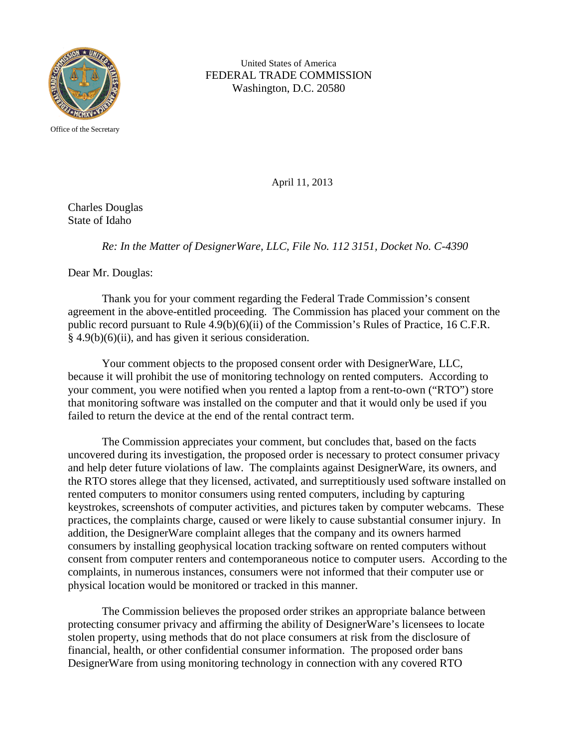

United States of America FEDERAL TRADE COMMISSION Washington, D.C. 20580

Office of the Secretary

April 11, 2013

Charles Douglas State of Idaho

*Re: In the Matter of DesignerWare, LLC, File No. 112 3151, Docket No. C-4390*

Dear Mr. Douglas:

Thank you for your comment regarding the Federal Trade Commission's consent agreement in the above-entitled proceeding. The Commission has placed your comment on the public record pursuant to Rule 4.9(b)(6)(ii) of the Commission's Rules of Practice, 16 C.F.R. § 4.9(b)(6)(ii), and has given it serious consideration.

Your comment objects to the proposed consent order with DesignerWare, LLC, because it will prohibit the use of monitoring technology on rented computers. According to your comment, you were notified when you rented a laptop from a rent-to-own ("RTO") store that monitoring software was installed on the computer and that it would only be used if you failed to return the device at the end of the rental contract term.

The Commission appreciates your comment, but concludes that, based on the facts uncovered during its investigation, the proposed order is necessary to protect consumer privacy and help deter future violations of law. The complaints against DesignerWare, its owners, and the RTO stores allege that they licensed, activated, and surreptitiously used software installed on rented computers to monitor consumers using rented computers, including by capturing keystrokes, screenshots of computer activities, and pictures taken by computer webcams. These practices, the complaints charge, caused or were likely to cause substantial consumer injury. In addition, the DesignerWare complaint alleges that the company and its owners harmed consumers by installing geophysical location tracking software on rented computers without consent from computer renters and contemporaneous notice to computer users. According to the complaints, in numerous instances, consumers were not informed that their computer use or physical location would be monitored or tracked in this manner.

The Commission believes the proposed order strikes an appropriate balance between protecting consumer privacy and affirming the ability of DesignerWare's licensees to locate stolen property, using methods that do not place consumers at risk from the disclosure of financial, health, or other confidential consumer information. The proposed order bans DesignerWare from using monitoring technology in connection with any covered RTO